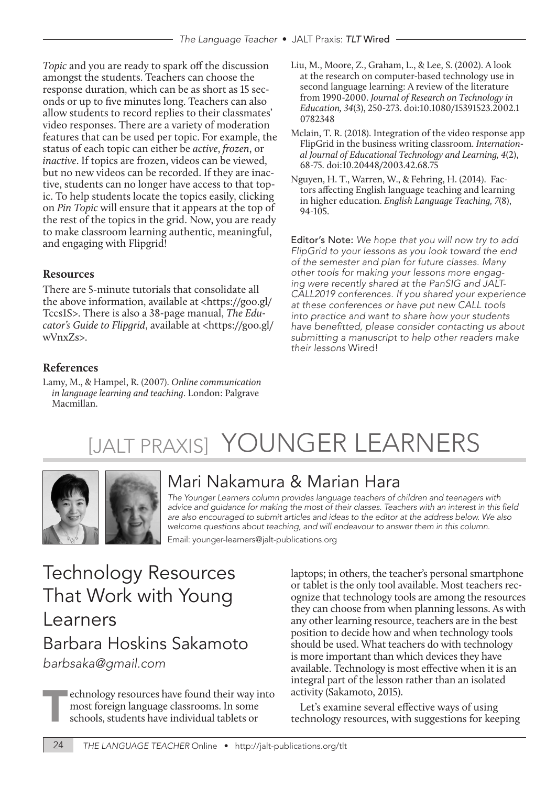*Topic* and you are ready to spark off the discussion amongst the students. Teachers can choose the response duration, which can be as short as 15 seconds or up to five minutes long. Teachers can also allow students to record replies to their classmates' video responses. There are a variety of moderation features that can be used per topic. For example, the status of each topic can either be *active*, *frozen*, or *inactive*. If topics are frozen, videos can be viewed, but no new videos can be recorded. If they are inactive, students can no longer have access to that topic. To help students locate the topics easily, clicking on *Pin Topic* will ensure that it appears at the top of the rest of the topics in the grid. Now, you are ready to make classroom learning authentic, meaningful, and engaging with Flipgrid!

#### **Resources**

There are 5-minute tutorials that consolidate all the above information, available at <https://goo.gl/ Tccs1S>. There is also a 38-page manual, *The Educator's Guide to Flipgrid*, available at <https://goo.gl/ wVnxZs>.

#### **References**

Lamy, M., & Hampel, R. (2007). *Online communication in language learning and teaching*. London: Palgrave Macmillan.

- Liu, M., Moore, Z., Graham, L., & Lee, S. (2002). A look at the research on computer-based technology use in second language learning: A review of the literature from 1990-2000. *Journal of Research on Technology in Education, 34*(3), 250-273. doi:10.1080/15391523.2002.1 0782348
- Mclain, T. R. (2018). Integration of the video response app FlipGrid in the business writing classroom. *International Journal of Educational Technology and Learning, 4*(2), 68-75. doi:10.20448/2003.42.68.75
- Nguyen, H. T., Warren, W., & Fehring, H. (2014). Factors affecting English language teaching and learning in higher education. *English Language Teaching, 7*(8), 94-105.

Editor's Note: *We hope that you will now try to add FlipGrid to your lessons as you look toward the end of the semester and plan for future classes. Many other tools for making your lessons more engaging were recently shared at the PanSIG and JALT-CALL2019 conferences. If you shared your experience at these conferences or have put new CALL tools into practice and want to share how your students*  have benefitted, please consider contacting us about *submitting a manuscript to help other readers make their lessons* Wired!

# [JALT PRAXIS] YOUNGER LEARNERS



### Mari Nakamura & Marian Hara

*The Younger Learners column provides language teachers of children and teenagers with*  advice and guidance for making the most of their classes. Teachers with an interest in this field *are also encouraged to submit articles and ideas to the editor at the address below. We also welcome questions about teaching, and will endeavour to answer them in this column.* Email: younger-learners@jalt-publications.org

## Technology Resources That Work with Young Learners Barbara Hoskins Sakamoto *barbsaka@gmail.com*

**Example 2** echnology resources have found their way into most foreign language classrooms. In some schools, students have individual tablets or

laptops; in others, the teacher's personal smartphone or tablet is the only tool available. Most teachers recognize that technology tools are among the resources they can choose from when planning lessons. As with any other learning resource, teachers are in the best position to decide how and when technology tools should be used. What teachers do with technology is more important than which devices they have available. Technology is most effective when it is an integral part of the lesson rather than an isolated activity (Sakamoto, 2015).

Let's examine several effective ways of using technology resources, with suggestions for keeping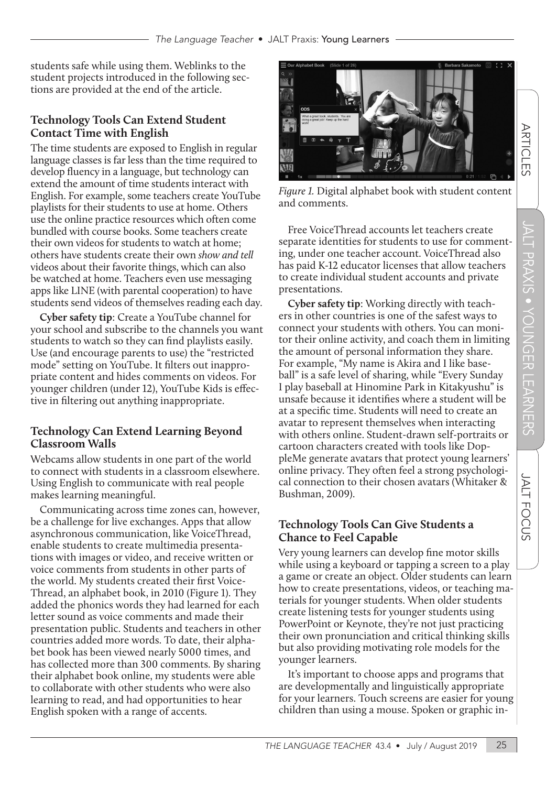students safe while using them. Weblinks to the student projects introduced in the following sections are provided at the end of the article.

#### **Technology Tools Can Extend Student Contact Time with English**

The time students are exposed to English in regular language classes is far less than the time required to develop fluency in a language, but technology can extend the amount of time students interact with English. For example, some teachers create YouTube playlists for their students to use at home. Others use the online practice resources which often come bundled with course books. Some teachers create their own videos for students to watch at home; others have students create their own *show and tell*  videos about their favorite things, which can also be watched at home. Teachers even use messaging apps like LINE (with parental cooperation) to have students send videos of themselves reading each day.

**Cyber safety tip**: Create a YouTube channel for your school and subscribe to the channels you want students to watch so they can find playlists easily. Use (and encourage parents to use) the "restricted mode" setting on YouTube. It filters out inappropriate content and hides comments on videos. For younger children (under 12), YouTube Kids is effective in filtering out anything inappropriate.

#### **Technology Can Extend Learning Beyond Classroom Walls**

Webcams allow students in one part of the world to connect with students in a classroom elsewhere. Using English to communicate with real people makes learning meaningful.

Communicating across time zones can, however, be a challenge for live exchanges. Apps that allow asynchronous communication, like VoiceThread, enable students to create multimedia presentations with images or video, and receive written or voice comments from students in other parts of the world. My students created their first Voice-Thread, an alphabet book, in 2010 (Figure 1). They added the phonics words they had learned for each letter sound as voice comments and made their presentation public. Students and teachers in other countries added more words. To date, their alphabet book has been viewed nearly 5000 times, and has collected more than 300 comments. By sharing their alphabet book online, my students were able to collaborate with other students who were also learning to read, and had opportunities to hear English spoken with a range of accents.



*Figure 1.* Digital alphabet book with student content and comments.

Free VoiceThread accounts let teachers create separate identities for students to use for commenting, under one teacher account. VoiceThread also has paid K-12 educator licenses that allow teachers to create individual student accounts and private presentations.

**Cyber safety tip**: Working directly with teachers in other countries is one of the safest ways to connect your students with others. You can monitor their online activity, and coach them in limiting the amount of personal information they share. For example, "My name is Akira and I like baseball" is a safe level of sharing, while "Every Sunday I play baseball at Hinomine Park in Kitakyushu" is unsafe because it identifies where a student will be at a specific time. Students will need to create an avatar to represent themselves when interacting with others online. Student-drawn self-portraits or cartoon characters created with tools like DoppleMe generate avatars that protect young learners' online privacy. They often feel a strong psychological connection to their chosen avatars (Whitaker & Bushman, 2009).

#### **Technology Tools Can Give Students a Chance to Feel Capable**

Very young learners can develop fine motor skills while using a keyboard or tapping a screen to a play a game or create an object. Older students can learn how to create presentations, videos, or teaching materials for younger students. When older students create listening tests for younger students using PowerPoint or Keynote, they're not just practicing their own pronunciation and critical thinking skills but also providing motivating role models for the younger learners.

It's important to choose apps and programs that are developmentally and linguistically appropriate for your learners. Touch screens are easier for young children than using a mouse. Spoken or graphic in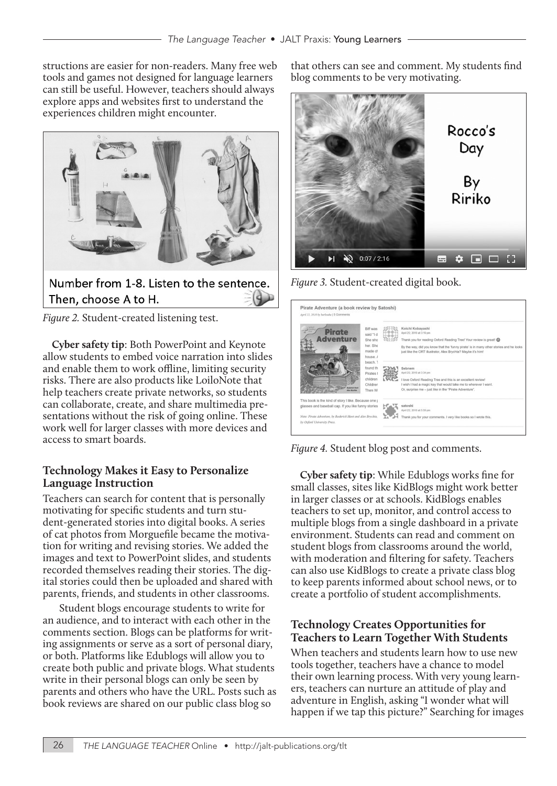structions are easier for non-readers. Many free web tools and games not designed for language learners can still be useful. However, teachers should always explore apps and websites first to understand the experiences children might encounter.



*Figure 2.* Student-created listening test.

**Cyber safety tip**: Both PowerPoint and Keynote allow students to embed voice narration into slides and enable them to work offline, limiting security risks. There are also products like LoiloNote that help teachers create private networks, so students can collaborate, create, and share multimedia presentations without the risk of going online. These work well for larger classes with more devices and access to smart boards.

#### **Technology Makes it Easy to Personalize Language Instruction**

Teachers can search for content that is personally motivating for specific students and turn student-generated stories into digital books. A series of cat photos from Morguefile became the motivation for writing and revising stories. We added the images and text to PowerPoint slides, and students recorded themselves reading their stories. The digital stories could then be uploaded and shared with parents, friends, and students in other classrooms.

 Student blogs encourage students to write for an audience, and to interact with each other in the comments section. Blogs can be platforms for writing assignments or serve as a sort of personal diary, or both. Platforms like Edublogs will allow you to create both public and private blogs. What students write in their personal blogs can only be seen by parents and others who have the URL. Posts such as book reviews are shared on our public class blog so

that others can see and comment. My students find blog comments to be very motivating.



*Figure 3.* Student-created digital book.



*Figure 4.* Student blog post and comments.

**Cyber safety tip**: While Edublogs works fine for small classes, sites like KidBlogs might work better in larger classes or at schools. KidBlogs enables teachers to set up, monitor, and control access to multiple blogs from a single dashboard in a private environment. Students can read and comment on student blogs from classrooms around the world, with moderation and filtering for safety. Teachers can also use KidBlogs to create a private class blog to keep parents informed about school news, or to create a portfolio of student accomplishments.

#### **Technology Creates Opportunities for Teachers to Learn Together With Students**

When teachers and students learn how to use new tools together, teachers have a chance to model their own learning process. With very young learners, teachers can nurture an attitude of play and adventure in English, asking "I wonder what will happen if we tap this picture?" Searching for images